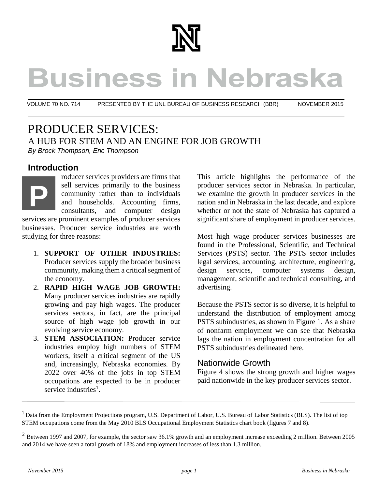

# **Business in Nebraska**

VOLUME 70 NO. 714 PRESENTED BY THE UNL BUREAU OF BUSINESS RESEARCH (BBR) NOVEMBER 2015

PRODUCER SERVICES: A HUB FOR STEM AND AN ENGINE FOR JOB GROWTH *By Brock Thompson, Eric Thompson*

# **Introduction**

roducer services providers are firms that sell services primarily to the business community rather than to individuals and households. Accounting firms, consultants, and computer design **P**

services are prominent examples of producer services businesses. Producer service industries are worth studying for three reasons:

- 1. **SUPPORT OF OTHER INDUSTRIES:** Producer services supply the broader business community, making them a critical segment of the economy.
- 2. **RAPID HIGH WAGE JOB GROWTH:** Many producer services industries are rapidly growing and pay high wages. The producer services sectors, in fact, are the principal source of high wage job growth in our evolving service economy.
- 3. **STEM ASSOCIATION:** Producer service industries employ high numbers of STEM workers, itself a critical segment of the US and, increasingly, Nebraska economies. By 2022 over 40% of the jobs in top STEM occupations are expected to be in producer service industries<sup>1</sup>.

This article highlights the performance of the producer services sector in Nebraska. In particular, we examine the growth in producer services in the nation and in Nebraska in the last decade, and explore whether or not the state of Nebraska has captured a significant share of employment in producer services.

Most high wage producer services businesses are found in the Professional, Scientific, and Technical Services (PSTS) sector. The PSTS sector includes legal services, accounting, architecture, engineering, design services, computer systems design, management, scientific and technical consulting, and advertising.

Because the PSTS sector is so diverse, it is helpful to understand the distribution of employment among PSTS subindustries, as shown in Figure 1. As a share of nonfarm employment we can see that Nebraska lags the nation in employment concentration for all PSTS subindustries delineated here.

### Nationwide Growth

Figure 4 shows the strong growth and higher wages paid nationwide in the key producer services sector.

<sup>&</sup>lt;sup>1</sup> Data from the Employment Projections program, U.S. Department of Labor, U.S. Bureau of Labor Statistics (BLS). The list of top STEM occupations come from the May 2010 BLS Occupational Employment Statistics chart book (figures 7 and 8).

 $2$  Between 1997 and 2007, for example, the sector saw 36.1% growth and an employment increase exceeding 2 million. Between 2005 and 2014 we have seen a total growth of 18% and employment increases of less than 1.3 million.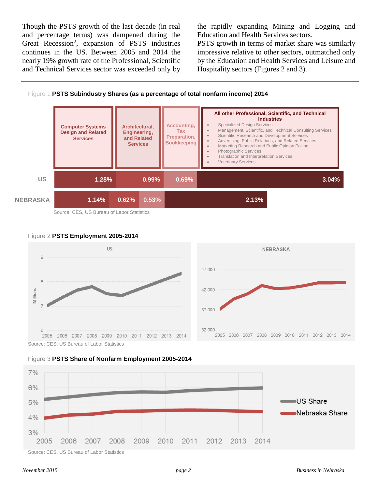Though the PSTS growth of the last decade (in real and percentage terms) was dampened during the Great Recession<sup>2</sup>, expansion of PSTS industries continues in the US. Between 2005 and 2014 the nearly 19% growth rate of the Professional, Scientific and Technical Services sector was exceeded only by

the rapidly expanding Mining and Logging and Education and Health Services sectors.

PSTS growth in terms of market share was similarly impressive relative to other sectors, outmatched only by the Education and Health Services and Leisure and Hospitality sectors (Figures 2 and 3).





Source: CES, US Bureau of Labor Statistics









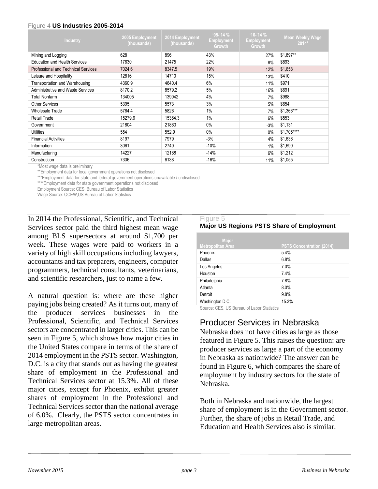#### Figure 4 **US Industries 2005-2014**

| Industry                                   | 2005 Employment<br>(thousands) | 2014 Employment<br>(thousands) | $95 - 14%$<br><b>Employment</b><br>Growth | $10-14%$<br><b>Employment</b><br>Growth | <b>Mean Weekly Wage</b><br>$2014*$ |
|--------------------------------------------|--------------------------------|--------------------------------|-------------------------------------------|-----------------------------------------|------------------------------------|
| Mining and Logging                         | 628                            | 896                            | 43%                                       | 27%                                     | \$1,897**                          |
| <b>Education and Health Services</b>       | 17630                          | 21475                          | 22%                                       | 8%                                      | \$893                              |
| <b>Professional and Technical Services</b> | 7024.6                         | 8347.5                         | 19%                                       | 12%                                     | \$1,658                            |
| Leisure and Hospitality                    | 12816                          | 14710                          | 15%                                       | 13%                                     | \$410                              |
| Transportation and Warehousing             | 4360.9                         | 4640.4                         | 6%                                        | 11%                                     | \$971                              |
| Administrative and Waste Services          | 8170.2                         | 8579.2                         | 5%                                        | 16%                                     | \$691                              |
| <b>Total Nonfarm</b>                       | 134005                         | 139042                         | 4%                                        | 7%                                      | \$988                              |
| <b>Other Services</b>                      | 5395                           | 5573                           | 3%                                        | 5%                                      | \$654                              |
| Wholesale Trade                            | 5764.4                         | 5826                           | 1%                                        | 7%                                      | \$1,366***                         |
| <b>Retail Trade</b>                        | 15279.6                        | 15364.3                        | 1%                                        | 6%                                      | \$553                              |
| Government                                 | 21804                          | 21863                          | $0\%$                                     | $-3%$                                   | \$1,131                            |
| <b>Utilities</b>                           | 554                            | 552.9                          | $0\%$                                     | $0\%$                                   | \$1,705****                        |
| <b>Financial Activities</b>                | 8197                           | 7979                           | $-3%$                                     | 4%                                      | \$1,636                            |
| Information                                | 3061                           | 2740                           | $-10%$                                    | 1%                                      | \$1,690                            |
| Manufacturing                              | 14227                          | 12188                          | $-14%$                                    | 6%                                      | \$1,212                            |
| Construction                               | 7336                           | 6138                           | $-16%$                                    | 11%                                     | \$1,055                            |

\*Most wage data is preliminary

\*\*Employment data for local government operations not disclosed

\*\*\*Employment data for state and federal government operations unavailable / undisclosed

\*\*\*\*Employment data for state government operations not disclosed

Employment Source: CES, Bureau of Labor Statistics

Wage Source: QCEW,US Bureau of Labor Statistics

In 2014 the Professional, Scientific, and Technical Services sector paid the third highest mean wage among BLS supersectors at around \$1,700 per week. These wages were paid to workers in a variety of high skill occupations including lawyers, accountants and tax preparers, engineers, computer programmers, technical consultants, veterinarians, and scientific researchers, just to name a few.

A natural question is: where are these higher paying jobs being created? As it turns out, many of the producer services businesses in the Professional, Scientific, and Technical Services sectors are concentrated in larger cities. This can be seen in Figure 5, which shows how major cities in the United States compare in terms of the share of 2014 employment in the PSTS sector. Washington, D.C. is a city that stands out as having the greatest share of employment in the Professional and Technical Services sector at 15.3%. All of these major cities, except for Phoenix, exhibit greater shares of employment in the Professional and Technical Services sector than the national average of 6.0%. Clearly, the PSTS sector concentrates in large metropolitan areas.

#### Figure 5 **Major US Regions PSTS Share of Employment**

| Major                    |                                  |
|--------------------------|----------------------------------|
| <b>Metropolitan Area</b> | <b>PSTS Concentration (2014)</b> |
| Phoenix                  | 5.4%                             |
| Dallas                   | 6.8%                             |
| Los Angeles              | 7.0%                             |
| Houston                  | 7.4%                             |
| Philadelphia             | 7.8%                             |
| Atlanta                  | 8.0%                             |
| Detroit                  | 9.8%                             |
| Washington D.C.          | 15.3%                            |

Source: CES, US Bureau of Labor Statistics

# Producer Services in Nebraska

Nebraska does not have cities as large as those featured in Figure 5. This raises the question: are producer services as large a part of the economy in Nebraska as nationwide? The answer can be found in Figure 6, which compares the share of employment by industry sectors for the state of Nebraska.

Both in Nebraska and nationwide, the largest share of employment is in the Government sector. Further, the share of jobs in Retail Trade, and Education and Health Services also is similar.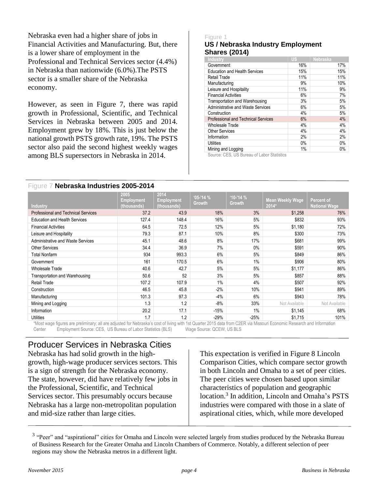Nebraska even had a higher share of jobs in Financial Activities and Manufacturing. But, there is a lower share of employment in the Professional and Technical Services sector (4.4%) in Nebraska than nationwide (6.0%).The PSTS sector is a smaller share of the Nebraska economy.

However, as seen in Figure 7, there was rapid growth in Professional, Scientific, and Technical Services in Nebraska between 2005 and 2014. Employment grew by 18%. This is just below the national growth PSTS growth rate, 19%. The PSTS sector also paid the second highest weekly wages among BLS supersectors in Nebraska in 2014.

#### Figure 1 **US / Nebraska Industry Employment Shares (2014)**

| Industry                                   | <b>US</b> | <b>Nebraska</b> |
|--------------------------------------------|-----------|-----------------|
| Government                                 | 16%       | 17%             |
| <b>Education and Health Services</b>       | 15%       | 15%             |
| <b>Retail Trade</b>                        | 11%       | 11%             |
| Manufacturing                              | 9%        | 10%             |
| Leisure and Hospitality                    | 11%       | 9%              |
| <b>Financial Activities</b>                | 6%        | 7%              |
| Transportation and Warehousing             | 3%        | 5%              |
| Administrative and Waste Services          | 6%        | 5%              |
| Construction                               | 4%        | 5%              |
| <b>Professional and Technical Services</b> | 6%        | 4%              |
| <b>Wholesale Trade</b>                     | 4%        | 4%              |
| <b>Other Services</b>                      | 4%        | 4%              |
| Information                                | 2%        | 2%              |
| Utilities                                  | $0\%$     | $0\%$           |
| Mining and Logging                         | 1%        | $0\%$           |
|                                            |           |                 |

Source: CES, US Bureau of Labor Statistics

#### Figure 7 **Nebraska Industries 2005-2014**

| <b>Industry</b>                                                                                                                | 2005<br>Employment<br>(thousands) | 2014<br><b>Employment</b><br>(thousands) | $05 - 14%$<br><b>Growth</b>                                                                                               | $1.10 - 14$ %<br>Growth | <b>Mean Weekly Wage</b><br>$2014*$                                                                                         | <b>Percent of</b><br><b>National Wage</b> |
|--------------------------------------------------------------------------------------------------------------------------------|-----------------------------------|------------------------------------------|---------------------------------------------------------------------------------------------------------------------------|-------------------------|----------------------------------------------------------------------------------------------------------------------------|-------------------------------------------|
| <b>Professional and Technical Services</b>                                                                                     | 37.2                              | 43.9                                     | 18%                                                                                                                       | 3%                      | \$1,258                                                                                                                    | 76%                                       |
| <b>Education and Health Services</b>                                                                                           | 127.4                             | 148.4                                    | 16%                                                                                                                       | 5%                      | \$832                                                                                                                      | 93%                                       |
| <b>Financial Activities</b>                                                                                                    | 64.5                              | 72.5                                     | 12%                                                                                                                       | 5%                      | \$1,180                                                                                                                    | 72%                                       |
| Leisure and Hospitality                                                                                                        | 79.3                              | 87.1                                     | 10%                                                                                                                       | 8%                      | \$300                                                                                                                      | 73%                                       |
| <b>Administrative and Waste Services</b>                                                                                       | 45.1                              | 48.6                                     | 8%                                                                                                                        | 17%                     | \$681                                                                                                                      | 99%                                       |
| <b>Other Services</b>                                                                                                          | 34.4                              | 36.9                                     | 7%                                                                                                                        | $0\%$                   | \$591                                                                                                                      | 90%                                       |
| <b>Total Nonfarm</b>                                                                                                           | 934                               | 993.3                                    | 6%                                                                                                                        | 5%                      | \$849                                                                                                                      | 86%                                       |
| Government                                                                                                                     | 161                               | 170.5                                    | 6%                                                                                                                        | 1%                      | \$906                                                                                                                      | 80%                                       |
| Wholesale Trade                                                                                                                | 40.6                              | 42.7                                     | 5%                                                                                                                        | 5%                      | \$1,177                                                                                                                    | 86%                                       |
| Transportation and Warehousing                                                                                                 | 50.6                              | 52                                       | 3%                                                                                                                        | 5%                      | \$857                                                                                                                      | 88%                                       |
| Retail Trade                                                                                                                   | 107.2                             | 107.9                                    | 1%                                                                                                                        | 4%                      | \$507                                                                                                                      | 92%                                       |
| Construction                                                                                                                   | 46.5                              | 45.8                                     | $-2%$                                                                                                                     | 10%                     | \$941                                                                                                                      | 89%                                       |
| Manufacturing                                                                                                                  | 101.3                             | 97.3                                     | $-4%$                                                                                                                     | 6%                      | \$943                                                                                                                      | 78%                                       |
| Mining and Logging                                                                                                             | 1.3                               | 1.2                                      | $-8%$                                                                                                                     | 33%                     | Not Available                                                                                                              | Not Available                             |
| Information                                                                                                                    | 20.2                              | 17.1                                     | $-15%$                                                                                                                    | $1\%$                   | \$1,145                                                                                                                    | 68%                                       |
| <b>Utilities</b><br>φλιβισμένου στο Γραμματού του στο Ρουλού στο το Πατοστο αΡουλικά με δυο λιμβουλοί επίστε το στην Γ.Ρ. λουσ | 1.7                               | 1.2                                      | $-29%$<br>$\mathcal{L}(\mathbf{I}, \mathbf{A}, \mathbf{I}, \mathbf{A}) = \mathcal{L}(\mathbf{A}, \mathbf{A}, \mathbf{A})$ | $-25%$<br>OOED.         | \$1,715<br>. A shi Mare should make a shared with make the model of the Mare of the Mare of the Mare of the Mare of the Ma | 101%                                      |

\*Most wage figures are preliminary; all are adjusted for Nebraska's cost of living with 1st Quarter 2015 data from C2ER via Missouri Economic Research and Information Center Employment Source: CES, US Bureau of Labor Statistics (BLS) Wage Source: QCEW, US BLS

# Producer Services in Nebraska Cities

Nebraska has had solid growth in the highgrowth, high-wage producer services sectors. This is a sign of strength for the Nebraska economy. The state, however, did have relatively few jobs in the Professional, Scientific, and Technical Services sector. This presumably occurs because Nebraska has a large non-metropolitan population and mid-size rather than large cities.

This expectation is verified in [Figure 8](#page-4-0) Lincoln [Comparison Cities,](#page-4-0) which compare sector growth in both Lincoln and Omaha to a set of peer cities. The peer cities were chosen based upon similar characteristics of population and geographic location. 3 In addition, Lincoln and Omaha's PSTS industries were compared with those in a slate of aspirational cities, which, while more developed

 $3$  "Peer" and "aspirational" cities for Omaha and Lincoln were selected largely from studies produced by the Nebraska Bureau of Business Research for the Greater Omaha and Lincoln Chambers of Commerce. Notably, a different selection of peer regions may show the Nebraska metros in a different light.